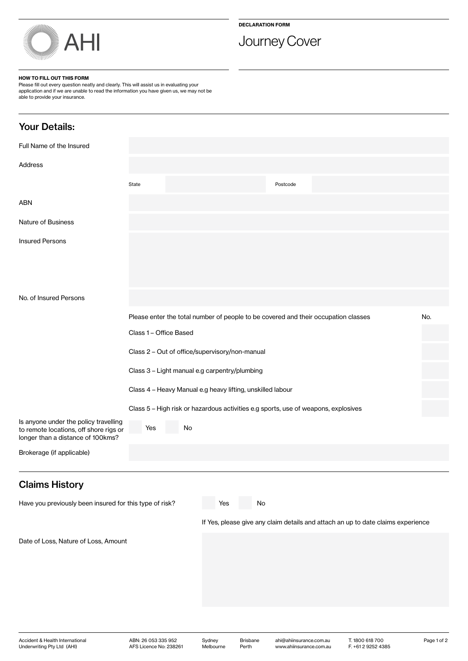

# Journey Cover

### HOW TO FILL OUT THIS FORM

Underwriting Pty Ltd (AHI)

Please fill out every question neatly and clearly. This will assist us in evaluating your application and if we are unable to read the information you have given us, we may not be able to provide your insurance.

| <b>Your Details:</b>                                                                                                 |                                                                                    |    |                     |                          |                                                    |                                                                                  |             |
|----------------------------------------------------------------------------------------------------------------------|------------------------------------------------------------------------------------|----|---------------------|--------------------------|----------------------------------------------------|----------------------------------------------------------------------------------|-------------|
| Full Name of the Insured                                                                                             |                                                                                    |    |                     |                          |                                                    |                                                                                  |             |
| Address                                                                                                              |                                                                                    |    |                     |                          |                                                    |                                                                                  |             |
|                                                                                                                      | State                                                                              |    |                     |                          | Postcode                                           |                                                                                  |             |
| ABN                                                                                                                  |                                                                                    |    |                     |                          |                                                    |                                                                                  |             |
| <b>Nature of Business</b>                                                                                            |                                                                                    |    |                     |                          |                                                    |                                                                                  |             |
| <b>Insured Persons</b>                                                                                               |                                                                                    |    |                     |                          |                                                    |                                                                                  |             |
| No. of Insured Persons                                                                                               |                                                                                    |    |                     |                          |                                                    |                                                                                  |             |
|                                                                                                                      | Please enter the total number of people to be covered and their occupation classes |    |                     |                          |                                                    |                                                                                  | No.         |
|                                                                                                                      | Class 1 - Office Based                                                             |    |                     |                          |                                                    |                                                                                  |             |
|                                                                                                                      | Class 2 - Out of office/supervisory/non-manual                                     |    |                     |                          |                                                    |                                                                                  |             |
|                                                                                                                      | Class 3 - Light manual e.g carpentry/plumbing                                      |    |                     |                          |                                                    |                                                                                  |             |
|                                                                                                                      | Class 4 - Heavy Manual e.g heavy lifting, unskilled labour                         |    |                     |                          |                                                    |                                                                                  |             |
|                                                                                                                      | Class 5 - High risk or hazardous activities e.g sports, use of weapons, explosives |    |                     |                          |                                                    |                                                                                  |             |
| Is anyone under the policy travelling<br>to remote locations, off shore rigs or<br>longer than a distance of 100kms? | Yes                                                                                | No |                     |                          |                                                    |                                                                                  |             |
| Brokerage (if applicable)                                                                                            |                                                                                    |    |                     |                          |                                                    |                                                                                  |             |
| <b>Claims History</b>                                                                                                |                                                                                    |    |                     |                          |                                                    |                                                                                  |             |
| Have you previously been insured for this type of risk?                                                              |                                                                                    |    | Yes                 | No                       |                                                    |                                                                                  |             |
|                                                                                                                      |                                                                                    |    |                     |                          |                                                    | If Yes, please give any claim details and attach an up to date claims experience |             |
| Date of Loss, Nature of Loss, Amount                                                                                 |                                                                                    |    |                     |                          |                                                    |                                                                                  |             |
| Accident & Health International<br>Underwriting Pty Ltd (AHI)                                                        | ABN: 26 053 335 952<br>AFS Licence No: 238261                                      |    | Sydney<br>Melbourne | <b>Brisbane</b><br>Perth | ahi@ahiinsurance.com.au<br>www.ahiinsurance.com.au | T. 1800 618 700<br>F. +61 2 9252 4385                                            | Page 1 of 2 |

Melbourne

AFS Licence No: 238261

Perth

www.ahiinsurance.com.au